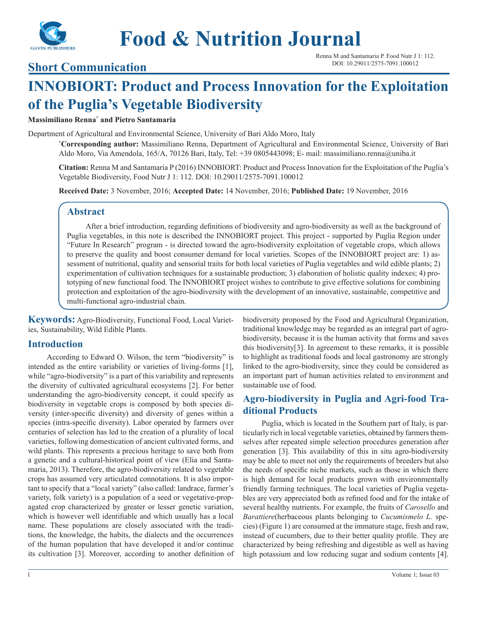

# **Food & Nutrition Journal**

**Short Communication**

# **INNOBIORT: Product and Process Innovation for the Exploitation of the Puglia's Vegetable Biodiversity**

#### **Massimiliano Renna\* and Pietro Santamaria**

Department of Agricultural and Environmental Science, University of Bari Aldo Moro, Italy

**\* Corresponding author:** Massimiliano Renna, Department of Agricultural and Environmental Science, University of Bari Aldo Moro, Via Amendola, 165/A, 70126 Bari, Italy, Tel: +39 0805443098; E- mail: massimiliano.renna@uniba.it

**Citation:** Renna M and Santamaria P (2016) INNOBIORT: Product and Process Innovation for the Exploitation of the Puglia's Vegetable Biodiversity, Food Nutr J 1: 112. DOI: 10.29011/2575-7091.100012

**Received Date:** 3 November, 2016; **Accepted Date:** 14 November, 2016; **Published Date:** 19 November, 2016

### **Abstract**

After a brief introduction, regarding definitions of biodiversity and agro-biodiversity as well as the background of Puglia vegetables, in this note is described the INNOBIORT project. This project - supported by Puglia Region under "Future In Research" program - is directed toward the agro-biodiversity exploitation of vegetable crops, which allows to preserve the quality and boost consumer demand for local varieties. Scopes of the INNOBIORT project are: 1) assessment of nutritional, quality and sensorial traits for both local varieties of Puglia vegetables and wild edible plants; 2) experimentation of cultivation techniques for a sustainable production; 3) elaboration of holistic quality indexes; 4) prototyping of new functional food. The INNOBIORT project wishes to contribute to give effective solutions for combining protection and exploitation of the agro-biodiversity with the development of an innovative, sustainable, competitive and multi-functional agro-industrial chain.

**Keywords:** Agro-Biodiversity, Functional Food, Local Varieties, Sustainability, Wild Edible Plants.

#### **Introduction**

According to Edward O. Wilson, the term "biodiversity" is intended as the entire variability or varieties of living-forms [1], while "agro-biodiversity" is a part of this variability and represents the diversity of cultivated agricultural ecosystems [2]. For better understanding the agro-biodiversity concept, it could specify as biodiversity in vegetable crops is composed by both species diversity (inter-specific diversity) and diversity of genes within a species (intra-specific diversity). Labor operated by farmers over centuries of selection has led to the creation of a plurality of local varieties, following domestication of ancient cultivated forms, and wild plants. This represents a precious heritage to save both from a genetic and a cultural-historical point of view (Elia and Santamaria, 2013). Therefore, the agro-biodiversity related to vegetable crops has assumed very articulated connotations. It is also important to specify that a "local variety" (also called: landrace, farmer's variety, folk variety) is a population of a seed or vegetative-propagated crop characterized by greater or lesser genetic variation, which is however well identifiable and which usually has a local name. These populations are closely associated with the traditions, the knowledge, the habits, the dialects and the occurrences of the human population that have developed it and/or continue its cultivation [3]. Moreover, according to another definition of biodiversity proposed by the Food and Agricultural Organization, traditional knowledge may be regarded as an integral part of agrobiodiversity, because it is the human activity that forms and saves this biodiversity[3]. In agreement to these remarks, it is possible to highlight as traditional foods and local gastronomy are strongly linked to the agro-biodiversity, since they could be considered as an important part of human activities related to environment and sustainable use of food.

### **Agro-biodiversity in Puglia and Agri-food Traditional Products**

Puglia, which is located in the Southern part of Italy, is particularly rich in local vegetable varieties, obtained by farmers themselves after repeated simple selection procedures generation after generation [3]. This availability of this in situ agro-biodiversity may be able to meet not only the requirements of breeders but also the needs of specific niche markets, such as those in which there is high demand for local products grown with environmentally friendly farming techniques. The local varieties of Puglia vegetables are very appreciated both as refined food and for the intake of several healthy nutrients. For example, the fruits of *Carosello* and *Barattiere*(herbaceous plants belonging to *Cucumismelo L.* species) (Figure 1) are consumed at the immature stage, fresh and raw, instead of cucumbers, due to their better quality profile. They are characterized by being refreshing and digestible as well as having high potassium and low reducing sugar and sodium contents [4].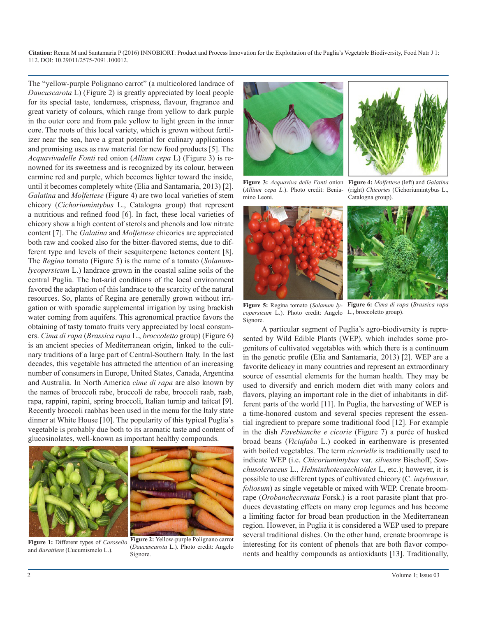**Citation:** Renna M and Santamaria P (2016) INNOBIORT: Product and Process Innovation for the Exploitation of the Puglia's Vegetable Biodiversity, Food Nutr J 1: 112. DOI: 10.29011/2575-7091.100012.

The "yellow-purple Polignano carrot" (a multicolored landrace of *Daucuscarota* L) (Figure 2) is greatly appreciated by local people for its special taste, tenderness, crispness, flavour, fragrance and great variety of colours, which range from yellow to dark purple in the outer core and from pale yellow to light green in the inner core. The roots of this local variety, which is grown without fertilizer near the sea, have a great potential for culinary applications and promising uses as raw material for new food products [5]. The *Acquavivadelle Fonti* red onion (*Allium cepa* L) (Figure 3) is renowned for its sweetness and is recognized by its colour, between carmine red and purple, which becomes lighter toward the inside, until it becomes completely white (Elia and Santamaria, 2013) [2]. *Galatina* and *Molfettese* (Figure 4) are two local varieties of stem chicory (*Cichoriumintybus* L., Catalogna group) that represent a nutritious and refined food [6]. In fact, these local varieties of chicory show a high content of sterols and phenols and low nitrate content [7]. The *Galatina* and *Molfettese* chicories are appreciated both raw and cooked also for the bitter-flavored stems, due to different type and levels of their sesquiterpene lactones content [8]. The *Regina* tomato (Figure 5) is the name of a tomato (*Solanumlycopersicum* L.) landrace grown in the coastal saline soils of the central Puglia. The hot-arid conditions of the local environment favored the adaptation of this landrace to the scarcity of the natural resources. So, plants of Regina are generally grown without irrigation or with sporadic supplemental irrigation by using brackish water coming from aquifers. This agronomical practice favors the obtaining of tasty tomato fruits very appreciated by local consumers. *Cima di rapa* (*Brassica rapa* L., *broccoletto* group) (Figure 6) is an ancient species of Mediterranean origin, linked to the culinary traditions of a large part of Central-Southern Italy. In the last decades, this vegetable has attracted the attention of an increasing number of consumers in Europe, United States, Canada, Argentina and Australia. In North America *cime di rapa* are also known by the names of broccoli rabe, broccoli de rabe, broccoli raab, raab, rapa, rappini, rapini, spring broccoli, Italian turnip and taitcat [9]. Recently broccoli raabhas been used in the menu for the Italy state dinner at White House [10]. The popularity of this typical Puglia's vegetable is probably due both to its aromatic taste and content of glucosinolates, well-known as important healthy compounds.



**Figure 1:** Different types of *Carosello*  and *Barattiere* (Cucumismelo L.).







**Figure 3:** *Acquaviva delle Fonti* onion **Figure 4:** *Molfettese* (left) and *Galatina*  (*Allium cepa L.*). Photo credit: Beniamino Leoni.



(right) *Chicories* (Cichoriumintybus L., Catalogna group).



**Figure 5:** Regina tomato (*Solanum ly-***Figure 6:** *Cima di rapa* (*Brassica rapa copersicum* L.). Photo credit: Angelo L., broccoletto group). Signore.

A particular segment of Puglia's agro-biodiversity is represented by Wild Edible Plants (WEP), which includes some progenitors of cultivated vegetables with which there is a continuum in the genetic profile (Elia and Santamaria, 2013) [2]. WEP are a favorite delicacy in many countries and represent an extraordinary source of essential elements for the human health. They may be used to diversify and enrich modern diet with many colors and flavors, playing an important role in the diet of inhabitants in different parts of the world [11]. In Puglia, the harvesting of WEP is a time-honored custom and several species represent the essential ingredient to prepare some traditional food [12]. For example in the dish *Favebianche e cicorie* (Figure 7) a purée of husked broad beans (*Viciafaba* L.) cooked in earthenware is presented with boiled vegetables. The term *cicorielle* is traditionally used to indicate WEP (i.e. *Chicoriumintybus* var. *silvestre* Bischoff, *Sonchusoleraceus* L., *Helminthotecaechioides* L, etc.); however, it is possible to use different types of cultivated chicory (C. *intybusvar*. *foliosum*) as single vegetable or mixed with WEP. Crenate broomrape (*Orobanchecrenata* Forsk.) is a root parasite plant that produces devastating effects on many crop legumes and has become a limiting factor for broad bean production in the Mediterranean region. However, in Puglia it is considered a WEP used to prepare several traditional dishes. On the other hand, crenate broomrape is interesting for its content of phenols that are both flavor components and healthy compounds as antioxidants [13]. Traditionally,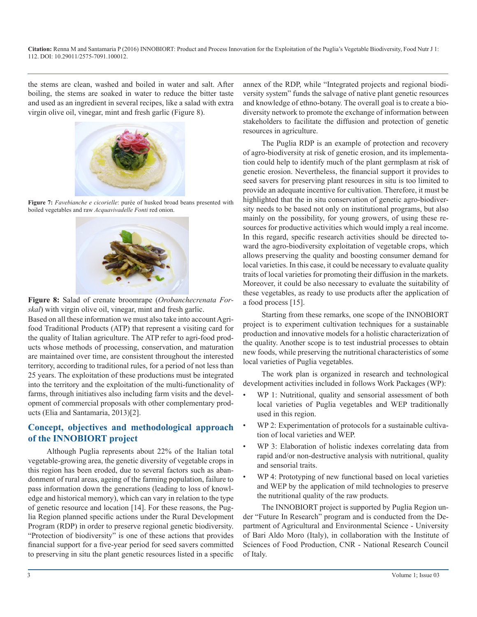**Citation:** Renna M and Santamaria P (2016) INNOBIORT: Product and Process Innovation for the Exploitation of the Puglia's Vegetable Biodiversity, Food Nutr J 1: 112. DOI: 10.29011/2575-7091.100012.

the stems are clean, washed and boiled in water and salt. After boiling, the stems are soaked in water to reduce the bitter taste and used as an ingredient in several recipes, like a salad with extra virgin olive oil, vinegar, mint and fresh garlic (Figure 8).



**Figure 7:** *Favebianche e cicorielle*: purée of husked broad beans presented with boiled vegetables and raw *Acquavivadelle Fonti* red onion.



**Figure 8:** Salad of crenate broomrape (*Orobanchecrenata Forskal*) with virgin olive oil, vinegar, mint and fresh garlic.

Based on all these information we must also take into account Agrifood Traditional Products (ATP) that represent a visiting card for the quality of Italian agriculture. The ATP refer to agri-food products whose methods of processing, conservation, and maturation are maintained over time, are consistent throughout the interested territory, according to traditional rules, for a period of not less than 25 years. The exploitation of these productions must be integrated into the territory and the exploitation of the multi-functionality of farms, through initiatives also including farm visits and the development of commercial proposals with other complementary products (Elia and Santamaria, 2013)[2].

### **Concept, objectives and methodological approach of the INNOBIORT project**

Although Puglia represents about 22% of the Italian total vegetable-growing area, the genetic diversity of vegetable crops in this region has been eroded, due to several factors such as abandonment of rural areas, ageing of the farming population, failure to pass information down the generations (leading to loss of knowledge and historical memory), which can vary in relation to the type of genetic resource and location [14]. For these reasons, the Puglia Region planned specific actions under the Rural Development Program (RDP) in order to preserve regional genetic biodiversity. "Protection of biodiversity" is one of these actions that provides financial support for a five-year period for seed savers committed to preserving in situ the plant genetic resources listed in a specific

annex of the RDP, while "Integrated projects and regional biodiversity system" funds the salvage of native plant genetic resources and knowledge of ethno-botany. The overall goal is to create a biodiversity network to promote the exchange of information between stakeholders to facilitate the diffusion and protection of genetic resources in agriculture.

The Puglia RDP is an example of protection and recovery of agro-biodiversity at risk of genetic erosion, and its implementation could help to identify much of the plant germplasm at risk of genetic erosion. Nevertheless, the financial support it provides to seed savers for preserving plant resources in situ is too limited to provide an adequate incentive for cultivation. Therefore, it must be highlighted that the in situ conservation of genetic agro-biodiversity needs to be based not only on institutional programs, but also mainly on the possibility, for young growers, of using these resources for productive activities which would imply a real income. In this regard, specific research activities should be directed toward the agro-biodiversity exploitation of vegetable crops, which allows preserving the quality and boosting consumer demand for local varieties. In this case, it could be necessary to evaluate quality traits of local varieties for promoting their diffusion in the markets. Moreover, it could be also necessary to evaluate the suitability of these vegetables, as ready to use products after the application of a food process [15].

Starting from these remarks, one scope of the INNOBIORT project is to experiment cultivation techniques for a sustainable production and innovative models for a holistic characterization of the quality. Another scope is to test industrial processes to obtain new foods, while preserving the nutritional characteristics of some local varieties of Puglia vegetables.

The work plan is organized in research and technological development activities included in follows Work Packages (WP):

- WP 1: Nutritional, quality and sensorial assessment of both local varieties of Puglia vegetables and WEP traditionally used in this region.
- WP 2: Experimentation of protocols for a sustainable cultivation of local varieties and WEP.
- WP 3: Elaboration of holistic indexes correlating data from rapid and/or non-destructive analysis with nutritional, quality and sensorial traits.
- WP 4: Prototyping of new functional based on local varieties and WEP by the application of mild technologies to preserve the nutritional quality of the raw products.

The INNOBIORT project is supported by Puglia Region under "Future In Research" program and is conducted from the Department of Agricultural and Environmental Science - University of Bari Aldo Moro (Italy), in collaboration with the Institute of Sciences of Food Production, CNR - National Research Council of Italy.